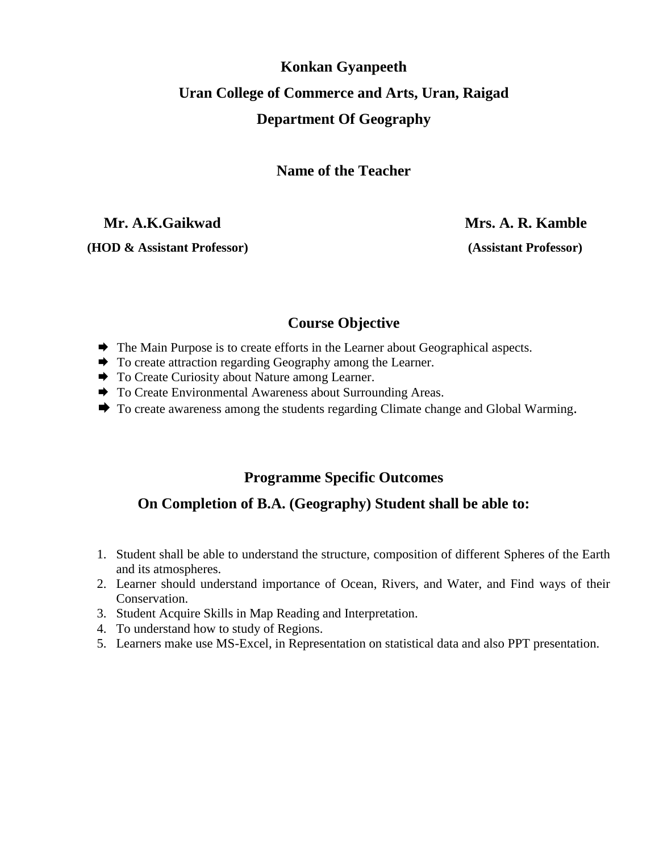# **Konkan Gyanpeeth Uran College of Commerce and Arts, Uran, Raigad Department Of Geography**

#### **Name of the Teacher**

 **Mr. A.K.Gaikwad Mrs. A. R. Kamble**

 **(HOD & Assistant Professor) (Assistant Professor)**

### **Course Objective**

- $\blacktriangleright$  The Main Purpose is to create efforts in the Learner about Geographical aspects.
- $\rightarrow$  To create attraction regarding Geography among the Learner.
- $\rightarrow$  To Create Curiosity about Nature among Learner.
- $\rightarrow$  To Create Environmental Awareness about Surrounding Areas.
- $\blacktriangleright$  To create awareness among the students regarding Climate change and Global Warming.

### **Programme Specific Outcomes**

### **On Completion of B.A. (Geography) Student shall be able to:**

- 1. Student shall be able to understand the structure, composition of different Spheres of the Earth and its atmospheres.
- 2. Learner should understand importance of Ocean, Rivers, and Water, and Find ways of their Conservation.
- 3. Student Acquire Skills in Map Reading and Interpretation.
- 4. To understand how to study of Regions.
- 5. Learners make use MS-Excel, in Representation on statistical data and also PPT presentation.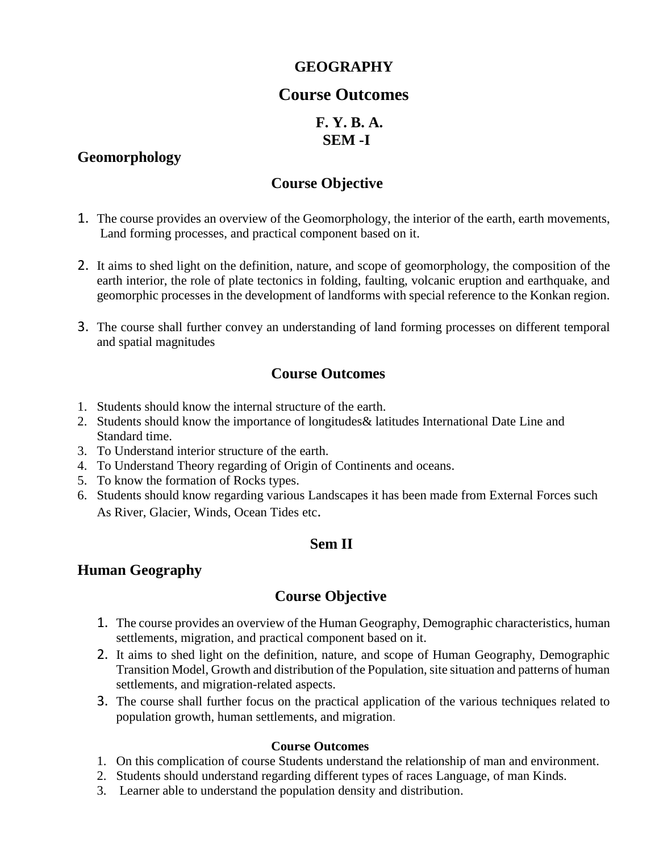# **GEOGRAPHY**

### **Course Outcomes**

# **F. Y. B. A. SEM -I**

### **Geomorphology**

### **Course Objective**

- 1. The course provides an overview of the Geomorphology, the interior of the earth, earth movements, Land forming processes, and practical component based on it.
- 2. It aims to shed light on the definition, nature, and scope of geomorphology, the composition of the earth interior, the role of plate tectonics in folding, faulting, volcanic eruption and earthquake, and geomorphic processes in the development of landforms with special reference to the Konkan region.
- 3. The course shall further convey an understanding of land forming processes on different temporal and spatial magnitudes

# **Course Outcomes**

- 1. Students should know the internal structure of the earth.
- 2. Students should know the importance of longitudes& latitudes International Date Line and Standard time.
- 3. To Understand interior structure of the earth.
- 4. To Understand Theory regarding of Origin of Continents and oceans.
- 5. To know the formation of Rocks types.
- 6. Students should know regarding various Landscapes it has been made from External Forces such As River, Glacier, Winds, Ocean Tides etc.

#### **Sem II**

### **Human Geography**

### **Course Objective**

- 1. The course provides an overview of the Human Geography, Demographic characteristics, human settlements, migration, and practical component based on it.
- 2. It aims to shed light on the definition, nature, and scope of Human Geography, Demographic Transition Model, Growth and distribution of the Population, site situation and patterns of human settlements, and migration-related aspects.
- 3. The course shall further focus on the practical application of the various techniques related to population growth, human settlements, and migration.

- 1. On this complication of course Students understand the relationship of man and environment.
- 2. Students should understand regarding different types of races Language, of man Kinds.
- 3. Learner able to understand the population density and distribution.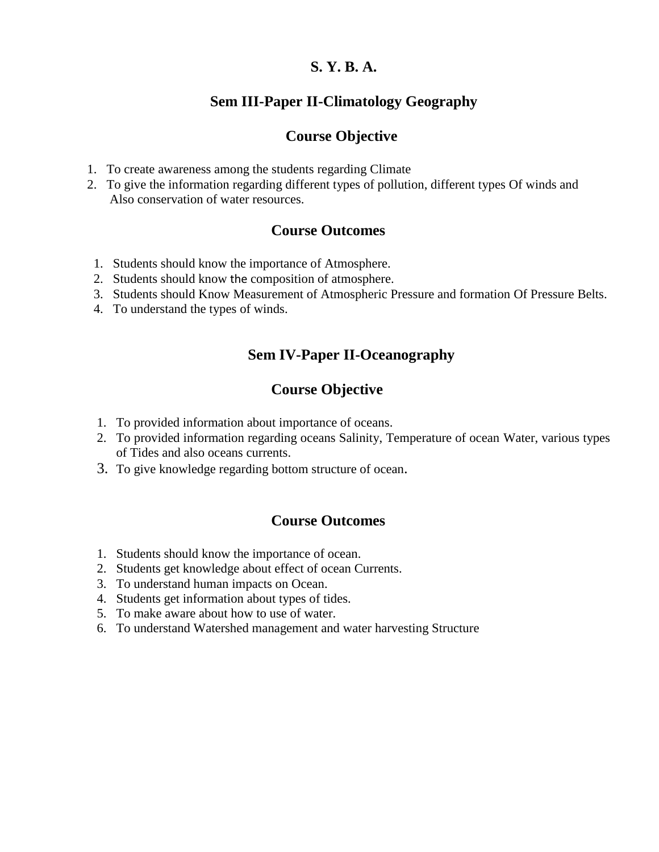### **S. Y. B. A.**

### **Sem III-Paper II-Climatology Geography**

#### **Course Objective**

- 1. To create awareness among the students regarding Climate
- 2. To give the information regarding different types of pollution, different types Of winds and Also conservation of water resources.

### **Course Outcomes**

- 1. Students should know the importance of Atmosphere.
- 2. Students should know the composition of atmosphere.
- 3. Students should Know Measurement of Atmospheric Pressure and formation Of Pressure Belts.
- 4. To understand the types of winds.

### **Sem IV-Paper II-Oceanography**

# **Course Objective**

- 1. To provided information about importance of oceans.
- 2. To provided information regarding oceans Salinity, Temperature of ocean Water, various types of Tides and also oceans currents.
- 3. To give knowledge regarding bottom structure of ocean.

- 1. Students should know the importance of ocean.
- 2. Students get knowledge about effect of ocean Currents.
- 3. To understand human impacts on Ocean.
- 4. Students get information about types of tides.
- 5. To make aware about how to use of water.
- 6. To understand Watershed management and water harvesting Structure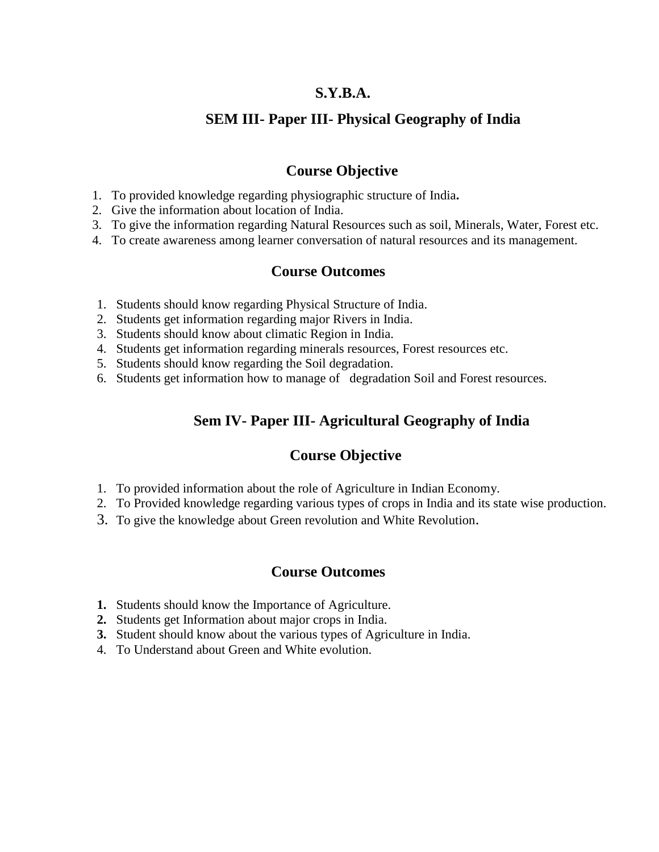#### **S.Y.B.A.**

### **SEM III- Paper III- Physical Geography of India**

### **Course Objective**

- 1. To provided knowledge regarding physiographic structure of India**.**
- 2. Give the information about location of India.
- 3. To give the information regarding Natural Resources such as soil, Minerals, Water, Forest etc.
- 4. To create awareness among learner conversation of natural resources and its management.

#### **Course Outcomes**

- 1. Students should know regarding Physical Structure of India.
- 2. Students get information regarding major Rivers in India.
- 3. Students should know about climatic Region in India.
- 4. Students get information regarding minerals resources, Forest resources etc.
- 5. Students should know regarding the Soil degradation.
- 6. Students get information how to manage of degradation Soil and Forest resources.

# **Sem IV- Paper III- Agricultural Geography of India**

#### **Course Objective**

- 1. To provided information about the role of Agriculture in Indian Economy.
- 2. To Provided knowledge regarding various types of crops in India and its state wise production.
- 3. To give the knowledge about Green revolution and White Revolution.

- **1.** Students should know the Importance of Agriculture.
- **2.** Students get Information about major crops in India.
- **3.** Student should know about the various types of Agriculture in India.
- 4. To Understand about Green and White evolution.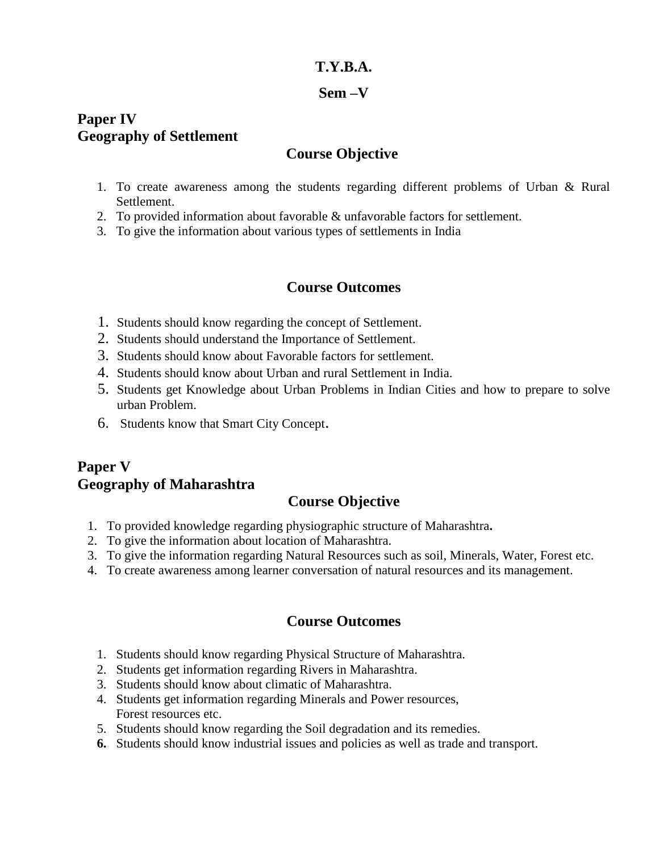### **T.Y.B.A.**

#### **Sem –V**

# **Paper IV Geography of Settlement**

# **Course Objective**

- 1. To create awareness among the students regarding different problems of Urban & Rural Settlement.
- 2. To provided information about favorable & unfavorable factors for settlement.
- 3. To give the information about various types of settlements in India

### **Course Outcomes**

- 1. Students should know regarding the concept of Settlement.
- 2. Students should understand the Importance of Settlement.
- 3. Students should know about Favorable factors for settlement.
- 4. Students should know about Urban and rural Settlement in India.
- 5. Students get Knowledge about Urban Problems in Indian Cities and how to prepare to solve urban Problem.
- 6. Students know that Smart City Concept.

# **Paper V Geography of Maharashtra**

# **Course Objective**

- 1. To provided knowledge regarding physiographic structure of Maharashtra**.**
- 2. To give the information about location of Maharashtra.
- 3. To give the information regarding Natural Resources such as soil, Minerals, Water, Forest etc.
- 4. To create awareness among learner conversation of natural resources and its management.

- 1. Students should know regarding Physical Structure of Maharashtra.
- 2. Students get information regarding Rivers in Maharashtra.
- 3. Students should know about climatic of Maharashtra.
- 4. Students get information regarding Minerals and Power resources, Forest resources etc.
- 5. Students should know regarding the Soil degradation and its remedies.
- **6.** Students should know industrial issues and policies as well as trade and transport.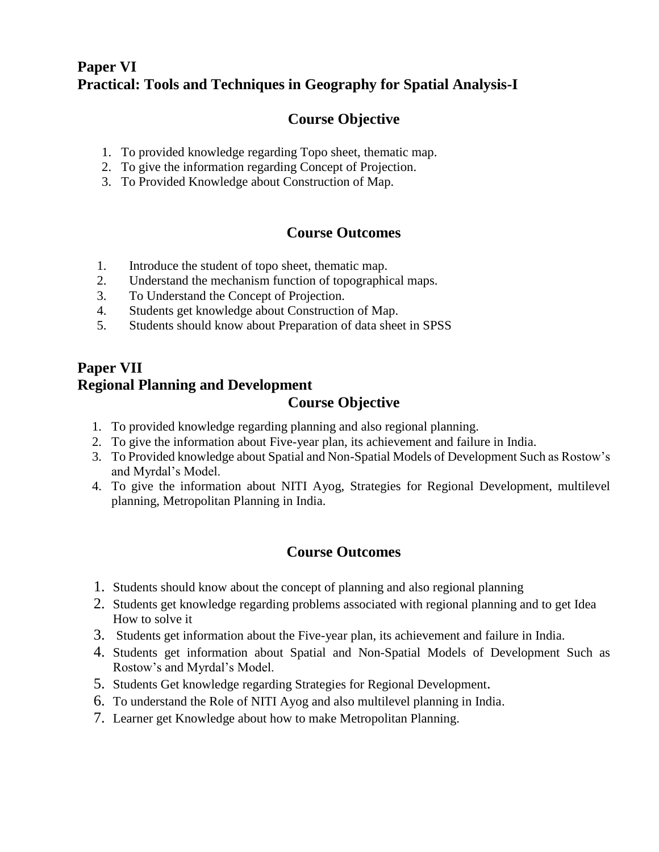# **Paper VI Practical: Tools and Techniques in Geography for Spatial Analysis-I**

# **Course Objective**

- 1. To provided knowledge regarding Topo sheet, thematic map.
- 2. To give the information regarding Concept of Projection.
- 3. To Provided Knowledge about Construction of Map.

# **Course Outcomes**

- 1. Introduce the student of topo sheet, thematic map.
- 2. Understand the mechanism function of topographical maps.
- 3. To Understand the Concept of Projection.
- 4. Students get knowledge about Construction of Map.
- 5. Students should know about Preparation of data sheet in SPSS

# **Paper VII Regional Planning and Development**

# **Course Objective**

- 1. To provided knowledge regarding planning and also regional planning.
- 2. To give the information about Five-year plan, its achievement and failure in India.
- 3. To Provided knowledge about Spatial and Non-Spatial Models of Development Such as Rostow's and Myrdal's Model.
- 4. To give the information about NITI Ayog, Strategies for Regional Development, multilevel planning, Metropolitan Planning in India.

- 1. Students should know about the concept of planning and also regional planning
- 2. Students get knowledge regarding problems associated with regional planning and to get Idea How to solve it
- 3. Students get information about the Five-year plan, its achievement and failure in India.
- 4. Students get information about Spatial and Non-Spatial Models of Development Such as Rostow's and Myrdal's Model.
- 5. Students Get knowledge regarding Strategies for Regional Development.
- 6. To understand the Role of NITI Ayog and also multilevel planning in India.
- 7. Learner get Knowledge about how to make Metropolitan Planning.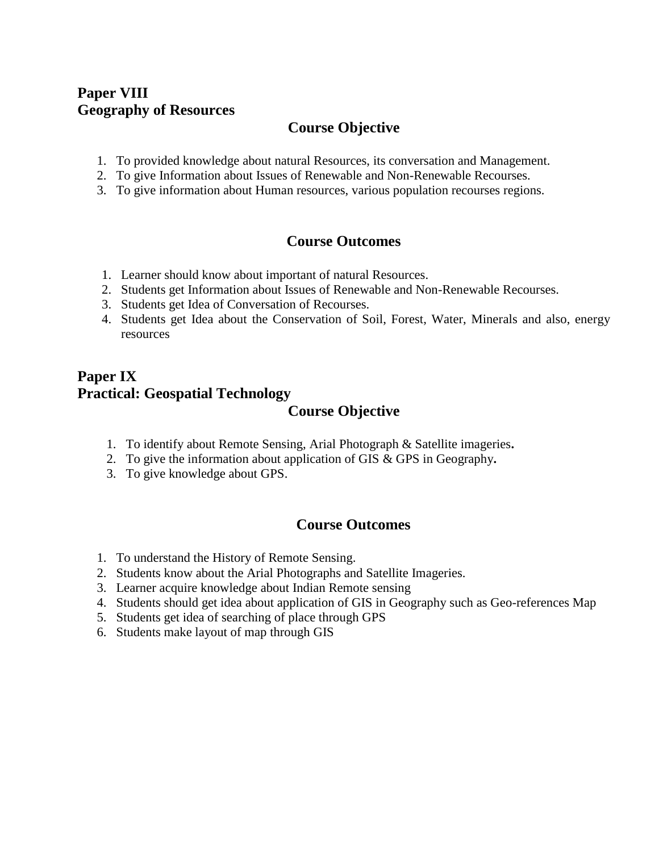# **Paper VIII Geography of Resources**

# **Course Objective**

- 1. To provided knowledge about natural Resources, its conversation and Management.
- 2. To give Information about Issues of Renewable and Non-Renewable Recourses.
- 3. To give information about Human resources, various population recourses regions.

### **Course Outcomes**

- 1. Learner should know about important of natural Resources.
- 2. Students get Information about Issues of Renewable and Non-Renewable Recourses.
- 3. Students get Idea of Conversation of Recourses.
- 4. Students get Idea about the Conservation of Soil, Forest, Water, Minerals and also, energy resources

# **Paper IX Practical: Geospatial Technology Course Objective**

- 1. To identify about Remote Sensing, Arial Photograph & Satellite imageries**.**
- 2. To give the information about application of GIS & GPS in Geography**.**
- 3. To give knowledge about GPS.

- 1. To understand the History of Remote Sensing.
- 2. Students know about the Arial Photographs and Satellite Imageries.
- 3. Learner acquire knowledge about Indian Remote sensing
- 4. Students should get idea about application of GIS in Geography such as Geo-references Map
- 5. Students get idea of searching of place through GPS
- 6. Students make layout of map through GIS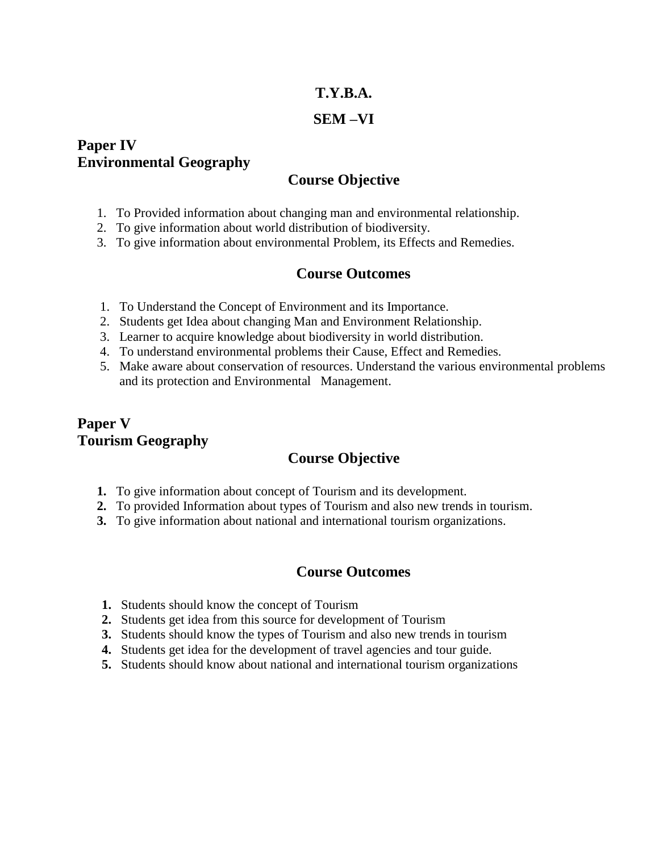### **T.Y.B.A.**

#### **SEM –VI**

# **Paper IV Environmental Geography**

# **Course Objective**

- 1. To Provided information about changing man and environmental relationship.
- 2. To give information about world distribution of biodiversity.
- 3. To give information about environmental Problem, its Effects and Remedies.

# **Course Outcomes**

- 1. To Understand the Concept of Environment and its Importance.
- 2. Students get Idea about changing Man and Environment Relationship.
- 3. Learner to acquire knowledge about biodiversity in world distribution.
- 4. To understand environmental problems their Cause, Effect and Remedies.
- 5. Make aware about conservation of resources. Understand the various environmental problems and its protection and Environmental Management.

# **Paper V Tourism Geography**

# **Course Objective**

- **1.** To give information about concept of Tourism and its development.
- **2.** To provided Information about types of Tourism and also new trends in tourism.
- **3.** To give information about national and international tourism organizations.

- **1.** Students should know the concept of Tourism
- **2.** Students get idea from this source for development of Tourism
- **3.** Students should know the types of Tourism and also new trends in tourism
- **4.** Students get idea for the development of travel agencies and tour guide.
- **5.** Students should know about national and international tourism organizations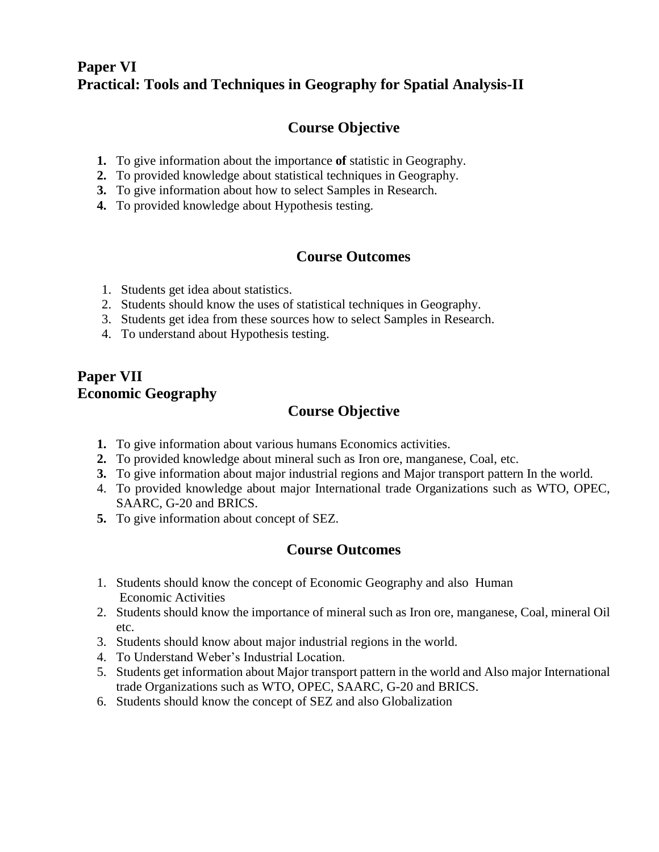# **Paper VI Practical: Tools and Techniques in Geography for Spatial Analysis-II**

# **Course Objective**

- **1.** To give information about the importance **of** statistic in Geography.
- **2.** To provided knowledge about statistical techniques in Geography.
- **3.** To give information about how to select Samples in Research.
- **4.** To provided knowledge about Hypothesis testing.

# **Course Outcomes**

- 1. Students get idea about statistics.
- 2. Students should know the uses of statistical techniques in Geography.
- 3. Students get idea from these sources how to select Samples in Research.
- 4. To understand about Hypothesis testing.

# **Paper VII Economic Geography**

# **Course Objective**

- **1.** To give information about various humans Economics activities.
- **2.** To provided knowledge about mineral such as Iron ore, manganese, Coal, etc.
- **3.** To give information about major industrial regions and Major transport pattern In the world.
- 4. To provided knowledge about major International trade Organizations such as WTO, OPEC, SAARC, G-20 and BRICS.
- **5.** To give information about concept of SEZ.

- 1. Students should know the concept of Economic Geography and also Human Economic Activities
- 2. Students should know the importance of mineral such as Iron ore, manganese, Coal, mineral Oil etc.
- 3. Students should know about major industrial regions in the world.
- 4. To Understand Weber's Industrial Location.
- 5. Students get information about Major transport pattern in the world and Also major International trade Organizations such as WTO, OPEC, SAARC, G-20 and BRICS.
- 6. Students should know the concept of SEZ and also Globalization